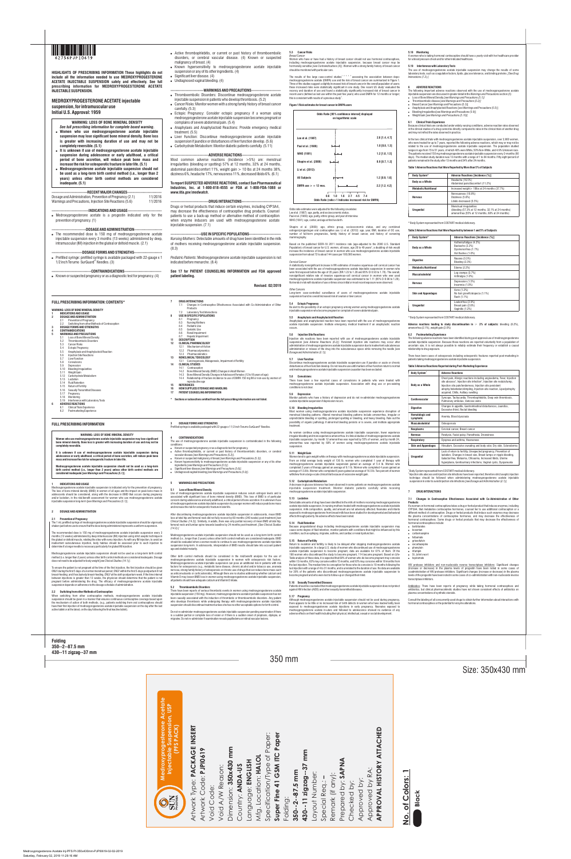350 mm

Size: 350x430 mm

**Folding 350--2--87.5 mm 430--11 zigzag--37 mm**

**FULL PRESCRIBING INFORMATION**

**WARNING: LOSS OF BONE MINERAL DENSITY Women who use medroxyprogesterone acetate injectable suspension may lose significant bone mineral density. Bone loss is greater with increasing duration of use and may not be completely reversible.** 

**It is unknown if use of medroxyprogesterone acetate injectable suspension during adolescence or early adulthood, a critical period of bone accretion, will reduce peak bone mass and increase the risk for osteoporotic fracture in later life.** 

The 1 mL prefilled syringe of medroxyprogesterone acetate injectable suspension should be vigorously shaken just before use to ensure that the dose being administered represents a uniform suspen

**Medroxyprogesterone acetate injectable suspension should not be used as a long-term birth control method (i.e., longer than 2 years) unless other birth control methods are considered inadequate [***see Warnings and Precautions (5.1)***].**

#### **1 INDICATIONS AND USAGE**

Medroxyprogesterone acetate injectable suspension is indicated only for the prevention of pregnancy.<br>The loss of bone mineral density (BMD) in women of all ages and the impact on peak bone mass in<br>adolescents should be con and/or lactation, in the risk/benefit assessment for women who use medroxyprogesterone acetate<br>injectable suspension long-term [s*ee Warnings and Precautions (5.1)*].

## **2 DOSAGE AND ADMINISTRATION**

## **2.1 Prevention of Pregnancy**

The recommended dose is 150 mg of medroxyprogesterone acetate injectable suspension every 3 months (13 weeks) administered by deep intramuscular (IM) injection using strict aseptic technique in the gluteal or deltoid muscle, rotating the sites with every injection. As with any IM injection, to avoid an inadvertent subcutaneous injection, body habitus should be assessed prior to each injection to determine if a longer needle is necessary particularly for gluteal IM injection.

conditions: Known or suspected pregnancy or as a diagnostic test for pregnancy.

Medroxyprogesterone acetate injectable suspension should not be used as a long-term birth control method (i.e. longer than 2 years) unless other birth control methods are considered inadequate. Dosage does not need to be adjusted for body weight [*see Clinical Studies (14.1)]*.

To ensure the patient is not pregnant at the time of the first injection, the first injection should be given ONLY during the first 5 days of a normal menstrual period; ONLY within the first 5-days postpartum if not breast-feeding; and if exclusively breast-feeding, ONLY at the sixth postpartum week. If the time interval between injections is greater than 13 weeks, the physician should determine that the patient is not pregnant before administering the drug. The efficacy of medroxyprogesterone acetate injectable suspension depends on adherence to the dosage schedule of administration.

#### **2.2 Switching from other Methods of Contraception**

When switching from other contraceptive methods, medroxyprogesterone acetate injectable suspension should be given in a manner that ensures continuous contraceptive coverage based upon the mechanism of action of both methods, (e.g., patients switching from oral contraceptives should have their first injection of medroxyprogesterone acetate injectable suspension on the day after the last active tablet or at the latest, on the day following the final inactive tablet).

#### **4 CONTRAINDICATIONS**  The use of medroxyprogesterone acetate injectable suspension is contraindicated in the following

- ! Active thrombophlebitis, or current or past history of thromboembolic disorders, or cerebral vascular disease *[see Warnings and Precautions (5.2)]*.
- Known or suspected malignancy of breast *[see Warnings and Precautions (5.3)]*.<br>- Known hypersensitivity to medroxyprogesterone acetate injectable suspension or any of its other ingredients *[see Warnings and Precautions*
- ! Significant liver disease *[see Warnings and Precautions (5.6)]*. ! Undiagnosed vaginal bleeding *[see Warnings and Precautions (5.9)]*.
- 

## **5 WARNINGS AND PRECAUTIONS**

#### **5.1 Loss of Bone Mineral Density**

Use of medroxyprogesterone acetate injectable suspension reduces serum estrogen levels and is associated with significant loss of bone mineral density (BMD). This loss of BMD is of particular concern during adolescence and early adulthood, a critical period of bone accretion. It is unknown if use of medroxyprogesterone acetate injectable suspension by younger women will reduce peak bone mass and increase the risk for osteoporotic fracture in later life.

After discontinuing medroxyprogesterone acetate injectable suspension in adolescents, mean BMD loss at total hip and femoral neck did not fully recover by 60 months (240 weeks) post-treatment *[see Clinical Studies (14.3)].* Similarly, in adults, there was only partial recovery of mean BMD at total hip, femoral neck and lumbar spine towards baseline by 24 months post-treatment. *[See Clinical Studies (14.2).]* 

Medroxyprogesterone acetate injectable suspension should not be used as a long-term birth control method (i.e., longer than 2 years) unless other birth control methods are considered inadequate. BMD should be evaluated when a woman needs to continue to use medroxyprogesterone acetate injectable suspension long-term. In adolescents, interpretation of BMD results should take into account patient age and skeletal maturity.

Other birth control methods should be considered in the risk/benefit analysis for the use of medroxyprogesterone acetate injectable suspension in women with osteoporosis risk factors. Medroxyprogesterone acetate injectable suspension can pose an additional risk in patients with risk factors for osteoporosis (e.g., metabolic bone disease, chronic alcohol and/or tobacco use, anorexia nervosa, strong family history of osteoporosis or chronic use of drugs that can reduce bone mass such as anticonvulsants or corticosteroids). Although there are no studies addressing whether calcium and Vitamin D may lessen BMD loss in women using medroxyprogesterone acetate injectable suspension, all patients should have adequate calcium and Vitamin D intake.

#### **5.2 Thromboembolic Disorders**

There have been reports of serious thrombotic events in women using medroxyprogesterone acetate injectable suspension (150 mg). However, medroxyprogesterone acetate injectable suspension has not been causally associated with the induction of thrombotic or thromboembolic disorders. Any patient who develops thrombosis while undergoing therapy with medroxyprogesterone acetate injectable suspension should discontinue treatment unless she has no other acceptable options for birth control.

Do not re-administer medroxyprogesterone acetate injectable suspension pending examination if there is a sudden partial or complete loss of vision or if there is a sudden onset of proptosis, diplopia, or migraine. Do not re-administer if examination reveals papilledema or retinal vascular lesions.

#### **5.3 Cancer Risks**  *Breast Cancer*

Women who have or have had a history of breast cancer should not use hormonal contraceptives, including medroxyprogesterone acetate injectable suspension, because breast cancer may be hormonally sensitive *[see Contraindications (4)].* Women with a strong family history of breast cancer should be monitored with particular care.

The results of five large case-control studies<sup>t, 2, 3, 4, 5</sup> assessing the association between depo-<br>medroxyprogesterone acetate (DMPA) use and the risk of breast cancer are summarized in Figure 1. Three of the studies suggest a slightly increased risk of breast cancer in the overall population of users;<br>these increased risks were statistically significant in one study. One recent US study' evaluated the recency and duration of use and found a statistically significantly increased risk of breast cancer in recent users (defined as last use within the past five years) who used DMPA for 12 months or longer; this is consistent with results of a previous study<sup>4</sup>.

Although medroxyprogesterone acetate injectable suspension should not be used during pregnancy, there appears to be little or no increased risk of birth defects in women who have inadvertently been exposed to medroxyprogesterone acetate injections in early pregnancy. Neonates exposed to<br>medroxyprogesterone acetate in-utero and followed to adolescence showed no evidence of any<br>adverseeffects.ontheir.health.including.t

- 
- ! Thromboembolic disease *[see Warnings and Precautions (5.2)]*  ! Breast Cancer [see Warnings and Precautions (5.3)]
- ! Anaphylaxis and Anaphylactoid Reactions [see Warnings and Precautions (5.5)]
- **Bleeding Irregularities [see Warnings and Precautions (5.9)]**<br>• Weight Gain [see Warnings and Precautions (5.10)]
- 

## **Figure 1 Risk estimates for breast cancer in DMPA users**

Odds ratio estimates were adjusted for the following covariates: Lee et al. (1987): age, parity, and socioeconomic status. Paul et al. (1989): age, parity, ethnic group, and year of interview. WHO (1991): age, center, and age at first live birth.

Shapiro et al. (2000): age, ethnic group, socioeconomic status, and any combined estrogen/progestogen oral contraceptive use. Li et al. (2012): age, year, BMI, duration of OC use, number of full-term pregnancies, family history of breast cancer, and history of screening mammography.

In the two clinical trials with medroxyprogesterone acetate injectable suspension, over 3,900 women, who were treated for up to 7 years, reported the following adverse reactions, which may or may not be<br>related to the use of medroxyprogesterone acetate injectable suspension. The population studied<br>ranges in age fr The patients received 150 mg medroxyprogesterone acetate injectable suspension every 3-months (90 days). The median study duration was 13 months with a range of 1 to 84 months. Fifty eight percent of patients remained in the study after 13 months and 34% after 24 months.

Based on the published SEER-18 2011 incidence rate (age-adjusted to the 2000 U.S. Standard Population) of breast cancer for U.S. women, all races, age 20 to 49 years<sup>6</sup>, a doubling of risk would increase the incidence of breast cancer in women who use medroxyprogesterone acetate injectable suspension from about 72 to about 144 cases per 100,000 women.

#### *Cervical Cancer*

A statistically nonsignificant increase in RR estimates of invasive squamous-cell cervical cancer has been associated with the use of medroxyprogesterone acetate injectable suspension in women who were first exposed before the age of 35 years (RR 1.22 to 1.28 and 95% CI 0.93 to 1.70). The overall, nonsignificant relative rate of invasive squamous-cell cervical cancer in women who ever used medroxyprogesterone acetate injectable suspension was estimated to be 1.11 (95% CI 0.96 to 1.29). No trends in risk with duration of use or times since initial or most recent exposure were observed.

> <sup>2</sup> Injection site abscess and injection site infections have been reported; therefore strict aseptic injection technique should be followed when administering medroxyprogesterone acetate injectable suspension in order to avoid injection site infections *[see Dosage and Administration (2.1)].*

**Products**  If a woman on hormonal contraceptives takes a drug or herbal product that induces enzymes, including CYP3A4, that metabolize contraceptive hormones, counsel her to use additional contraception or a different method of contraception. Drugs or herbal products that induce such enzymes may decrease the plasma concentrations of contraceptive hormones, and may decrease the effectiveness of hormonal contraceptives. Some drugs or herbal products that may decrease the effectiveness of hormonal contraceptives include: • barbiturates

- bosentan
- · carbamazepine • felbamate
- griseofulvin
- oxcarbazepine • phenytoin
- rifampin
- ! St. John's wort • topiramate

## *Other Cancers*

Long-term case-controlled surveillance of users of medroxyprogesterone acetate injectable suspension found no overall increased risk of ovarian or liver cancer.

**5.4 Ectopic Pregnancy** Be alert to the possibility of an ectopic pregnancy among women using medroxyprogesterone acetate injectable suspension who become pregnant or complain of severe abdominal pain.

#### **5.5 Anaphylaxis and Anaphylactoid Reaction**

Anaphylaxis and anaphylactoid reaction have been reported with the use of medroxyprogesterone acetate injectable suspension. Institute emergency medical treatment if an anaphylactic reaction occurs.

#### **5.6 Injection Site Reactions**

Injection site reactions have been reported with use of medroxyprogesterone acetate injectable suspension *[see Adverse Reactions (6.2)]*. Persistent injection site reactions may occur after administration of medroxyprogesterone acetate injectable suspension due to inadvertent subcutaneous administration or release of the drug into the subcutaneous space while removing the needle *[see Dosage and Administration (2.1)].* 

#### **5.7 Liver Function**

## **----------------------------RECENT MAJOR CHANGES---------------------------** Dosage and Administration, Prevention of Pregnancy (2.1) Warnings and Precautions, Injection Site Reactions (5.6) 11/2016

Discontinue medroxyprogesterone acetate injectable suspension use if jaundice or acute or chronic disturbances of liver function develop. Do not resume use until markers of liver function return to normal and medroxyprogesterone acetate injectable suspension causation has been excluded.

## **5.8 Convulsions**  There have been a few reported cases of convulsions in patients who were treated with medroxyprogesterone acetate injectable suspension. Association with drug use or pre-existing

conditions is not clear. **5.9 Depression** Monitor patients who have a history of depression and do not re-administer medroxyprogesterone acetate injectable suspension if depression recurs.

**5.10 Bleeding Irregularities** Most women using medroxyprogesterone acetate injectable suspension experience disruption of menstrual bleeding patterns. Altered menstrual bleeding patterns include amenorrhea, irregular or unpredictable bleeding or spotting, prolonged spotting or bleeding, and heavy bleeding. Rule out the possibility of organic pathology if abnormal bleeding persists or is severe, and institute appropriate treatment.

--ADVERSE REACTIONS--Most common adverse reactions (incidence >5%) are: menstrual irregularities (bleeding or spotting) 57% at 12 months, 32% at 24 months, abdominal pain/discomfort 11%, weight gain > 10 lbs at 24 months 38%, dizziness 6%, headache 17%, nervousness 11%, decreased libido 6%. (6.1)

> As women continue using medroxyprogesterone acetate injectable suspension, fewer experience irregular bleeding and more experience amenorrhea. In clinical st injectable suspension, by month 12 amenorrhea was reported by 55% of women, and by month 24 amenorrhea was reported by 68% of women using medroxyprogesterone acetate injectable suspension.

#### **5.11 Weight Gain**

### --DRUG INTERACTIONS---Drugs or herbal products that induce certain enzymes, including CYP3A4, may decrease the effectiveness of contraceptive drug products. Counsel patients to use a back-up method or alternative method of contraception when enzyme inducers are used with medroxyprogesterone acetate injectable suspension. (7.1)

----USE IN SPECIFIC POPULATIONS---*Nursing Mothers*: Detectable amounts of drug have been identified in the milk of mothers receiving medroxyprogesterone acetate injectable suspension. (8.3)

> Women tend to gain weight while on therapy with medroxyprogesterone acetate injectable suspension. From an initial average body weight of 136 lb, women who completed 1 year of therapy with medroxyprogesterone acetate injectable suspension gained an average of 5.4 lb. Women who completed 2 years of therapy gained an average of 8.1 lb. Women who completed 4 years gained an average of 13.8 lb. Women who completed 6 years gained an average of 16.5 lb. Two percent of women withdrew from a large-scale clinical trial because of excessive weight gain.

- 2.1 Prevention of Pregnancy 2.2 Switching from other Methods of Contraception
- **3 DOSAGE FORMS AND STRENGTHS**
- **4 CONTRAINDICATIONS 5 WARNINGS AND PRECAUTIONS**
- 5.1 Loss of Bone Mineral Density<br>5.2 Thromboembolic Disorders
- 5.2 Thromboembolic Disorders
- 5.3 Cancer Risks **Ectopic Pregnancy**
- 5.5 Anaphylaxis and Anaphylactoid Reaction<br>5.5 Injection Site Reactions<br>5.7 Liver Function
- 5.6 Injection Site Reactions
- 5.7 Liver Function<br>5.8 Convulsions<br>5.9 Depression **Convulsions**
- Depression
- 5.10 Bleeding Irregularities 5.11 Weight Gain
- 5.12 Carbohydrate Metabolism
- 5.13 Lactation
- 5.14 Fluid Retention Return of Fertility
- 5.16 Sexually Transmitted Diseases
- 5.17 Pregnancy
- 5.18 Monitoring 5.19 Interference with Laboratory Tests
- **6 ADVERSE REACTIONS** Clinical Trials Experience

#### **5.12 Carbohydrate Metabolism**

A decrease in glucose tolerance has been observed in some patients on medroxyprogesterone acetate injectable suspension treatment. Monitor diabetic patients carefully while receiving medroxyprogesterone acetate injectable suspension.

#### **5.13 Lactation**

Detectable amounts of drug have been identified in the milk of mothers receiving medroxyprogesterone acetate injectable suspension. In nursing mothers treated with medroxyprogesterone acetate injectable suspension, milk composition, quality, and amount are not adversely affected. Neonates and infants exposed to medroxyprogesterone from breast milk have been studied for developmental and behavioral effects through puberty. No adverse effects have been noted.

## **5.14 Fluid Retention**

Because progestational drugs including medroxyprogesterone acetate injectable suspension may cause some degree of fluid retention, monitor patients with conditions that might be influenced by this condition, such as epilepsy, migraine, asthma, and cardiac or renal dysfunction.

#### **5.15 Return of Fertility**

Return to ovulation and fertility is likely to be delayed after stopping medroxyprogesterone acetate injectable suspension. In a large U.S. study of women who discontinued use of medroxyprogester acetate injectable suspension to become pregnant, data are available for 61% of them. Of the<br>188 women who discontinued the study to become pregnant, 114 became pregnant. Based on Life-<br>Table analysis of these data, it is within 12 months, 83% may conceive within 15 months, and 93% may conceive within 18 months from the last injection. The median time to conception for those who do conceive is 10 months following the last injection with a range of 4 to 31 months, and is unrelated to the duration of use. No data are available for 39% of the patients who discontinued medroxyprogesterone acetate injectable suspension to become pregnant and who were lost to follow-up or changed their mind.

acquired, Chills, Axillary swelling **Cardiovascular** Syncope, Tachycardia, Thrombophlebitis, Deep vein thrombosis, Pulmonary embolus, Varicose veins **Digestive Changes in appetite, Gastrointestinal disturbances, Jaundice,** Excessive thirst, Rectal bleeding

- 6.2 Postmarketing Experience
- **3 DOSAGE FORMS AND STRENGTHS**

#### **5.16 Sexually Transmitted Diseases**

Patients should be counseled that medroxyprogesterone acetate injectable suspension does not protect against HIV infection (AIDS) and other sexually transmitted diseases.

#### **5.17 Pregnancy**

### **5.18 Monitoring**

A woman who is taking hormonal contraceptive should have a yearly visit with her healthcare provider for a blood pressure check and for other indicated healthcare.

#### **5.19 Interference with Laboratory Tests**

The use of medroxyprogesterone acetate injectable suspension may change the results of some laboratory tests, such as coagulation factors, lipids, glucose tolerance, and binding proteins. *[See Drug Interactions (7.2).]* 

### **6 ADVERSE REACTIONS**

The following important adverse reactions observed with the use of medroxyprogesterone acetate injectable suspension are discussed in greater detail in the *Warnings and Precautions* section (*5*): ! Loss of Bone Mineral Density *[see Warnings and Precautions (5.1)]* 

**6.1 Clinical Trials Experience** Because clinical trials are conducted under widely varying conditions, adverse reaction rates observed in the clinical studies of a drug cannot be directly compared to rates in the clinical trials of another drug and may not reflect the rates observed in practice.

#### **Table 1 Adverse Reactions that Were Reported by More than 5% of Subjects**

\* Body System represented from COSTART medical dictionary.

#### **Table 2 Adverse Reactions that Were Reported by between 1 and 5% of Subjects**

\* Body System represented from COSTART medical dictionary.

**Adverse reactions leading to study discontinuation in** ≥ **2% of subjects:** bleeding (8.2%), amenorrhea (2.1%), weight gain (2.0%)

#### **6.2 Postmarketing Experience**

**Body System** 

The following adverse reactions have been identified during post approval use of medroxyprogesterone acetate injectable suspension. Because these reactions are reported voluntarily from a population of uncertain size, it is not always possible to reliably estimate their frequency or establish a causal relationship to drug exposure.

There have been cases of osteoporosis including osteoporotic fractures reported post-marketing in patients taking medroxyprogesterone acetate injectable suspension.

#### **Table 3 Adverse Reactions Reported during Post-Marketing Experience**

#### 1 Body System represented from COSTART medical dictionary.

#### **7 DRUG INTERACTIONS**

# **7.1 Changes in Contraceptive Effectiveness Associated with Co-Administration of Other**

HIV protease inhibitors and non-nucleoside reverse transcriptase inhibitors: Significant changes (increase or decrease) in the plasma levels of progestin have been noted in some cases of coadministration of HIV protease inhibitors. Significant changes (increase or decrease) in the plasma levels of the progestin have been noted in some cases of co-administration with non-nucleoside reverse transcriptase inhibitors.

Antibiotics: There have been reports of pregnancy while taking hormonal contraceptives and antibiotics, but clinical pharmacokinetic studies have not shown consistent effects of antibiotics on plasma concentrations of synthetic steroids.

Consult the labeling of all concurrently used drugs to obtain further information about interactions with hormonal contraceptives or the potential for enzyme alterations.



**HIGHLIGHTS OF PRESCRIBING INFORMATION These highlights do not include all the information needed to use MEDROXYPROGESTERONE ACETATE INJECTABLE SUSPENSION safely and effectively. See full prescribing information for MEDROXYPROGESTERONE ACETATE INJECTABLE SUSPENSION.** 

## **MEDROXYPROGESTERONE ACETATE injectable suspension, for intramuscular use Initial U.S. Approval: 1959**

### **WARNING: LOSS OF BONE MINERAL DENSITY**

- *See full prescribing information for complete boxed warning***.**  ! **Women who use medroxyprogesterone acetate injectable suspension may lose significant bone mineral density. Bone loss is greater with increasing duration of use and may not be completely reversible. (5.1)**
- ! **It is unknown if use of medroxyprogesterone acetate injectable suspension during adolescence or early adulthood, a critical period of bone accretion, will reduce peak bone mass and increase the risk for osteoporotic fracture in later life. (5.1)**
- ! **Medroxyprogesterone acetate injectable suspension should not be used as a long-term birth control method (i.e., longer than 2 years) unless other birth control methods are considered inadequate. (5.1)**

## **-----------------------------INDICATIONS AND USAGE---------------------------** • Medroxyprogesterone acetate is a progestin indicated only for the prevention of pregnancy. (1)

**---------------------------DOSAGE AND ADMINISTRATION----------------------** . The recommended dose is 150 mg of medroxyprogesterone acetate injectable suspension every 3 months (13 weeks) administered by deep, intramuscular (IM) injection in the gluteal or deltoid muscle. (2.1)

## -----DOSAGE FORMS AND STRENGTHS-. Prefilled syringe: prefilled syringe is available packaged with 22-gauge x 1

- $1/2$  inch Terumo SurGuard<sup>®</sup> Needles. (3)
- --CONTRAINDICATIONS-- $\bullet$  Known or suspected pregnancy or as a diagnostic test for pregnancy. (4)

### ! Active thrombophlebitis, or current or past history of thromboembolic disorders, or cerebral vascular disease. (4) Known or suspected malignancy of breast. (4)

- . Known hypersensitivity to medroxyprogesterone acetate injectable suspension or any of its other ingredients.  $(4)$
- $\bullet$  Significant liver disease. (4)
- $\bullet$  Undiagnosed vaginal bleeding. (4)

#### ----WARNINGS AND PRECAUTIONS---• Thromboembolic Disorders: Discontinue medroxyprogesterone acetate

- injectable suspension in patients who develop thrombosis. (5.2) . Cancer Risks: Monitor women with a strong family history of breast cancer carefully. (5.3)
- Ectopic Pregnancy: Consider ectopic pregnancy if a woman using medroxyprogesterone acetate injectable suspension becomes pregnant or complains of severe abdominal pain. (5.4)
- . Anaphylaxis and Anaphylactoid Reactions: Provide emergency medical treatment. (5.5)
- Liver Function: Discontinue medroxyprogesterone acetate injectable suspension if jaundice or disturbances of liver function develop. (5.6)

# . Carbohydrate Metabolism: Monitor diabetic patients carefully. (5.11)

#### **To report SUSPECTED ADVERSE REACTIONS, contact Sun Pharmaceutical Industries, Inc. at 1-800-818-4555 or FDA at 1-800-FDA-1088 or**  *www.fda.gov/medwatch***.**

*Pediatric Patients*: Medroxyprogesterone acetate injectable suspension is not indicated before menarche. (8.4)

# **See 17 for PATIENT COUNSELING INFORMATION and FDA approved**

**patient labeling.**

**DRUG INTERACTIONS**<br>7.1 Changes in Co

**Revised: 02/2019**

## **FULL PRESCRIBING INFORMATION: CONTENTS\***

#### **WARNING: LOSS OF BONE MINERAL DENSITY 1 INDICATIONS AND USAGE 2 DOSAGE AND ADMINISTRATION**

7.1 Changes in Contraceptive Effectiveness Associated with Co-Administration of Other

Products 7.2 Laboratory Test Interactions **8 USE IN SPECIFIC POPULATIONS** 8.1 Pregnancy 8.3 Nursing Mothers 8.4 Pediatric Use<br>8.5 Geriatric Use Geriatric Use 8.6 Renal Impairment 8.7 Hepatic Impairment **11 DESCRIPTION 12 CLINICAL PHARMACOLOGY** 12.1 Mechanism of Action 12.2 Pharmacodynamics 12.3 Pharmacokinetics **13 NONCLINICAL TOXICOLOGY**

13.1 Carcinogenesis, Mutagenesis, Impairment of Fertility

**14 CLINICAL STUDIES** 14.1 Contraception

14.2 Bone Mineral Density (BMD) Changes in Adult Women

14.3 Bone Mineral Density Changes in Adolescent Females (12 to18 years of age) 14.4 Relationship of fracture incidence to use of DMPA 150 mg IM or non-use by women of

reproductive age

**15 REFERENCES** 

**16 HOW SUPPLIED/STORAGE AND HANDLING 17 PATIENT COUNSELING INFORMATION**

Prefilled syringe is available packaged with 22-gauge x 1 1/2 inch Terumo SurGuard® Needles.

**\* Sections or subsections omitted from the full prescribing information are not listed.**



| Odds Ratio [95% confidence interval] displayed<br>on logarithmic scale                      |                  |
|---------------------------------------------------------------------------------------------|------------------|
|                                                                                             |                  |
| Lee et al. (1987)                                                                           | $2.6$ [1.4, 4.7] |
| Paul et al. (1989)                                                                          | $1.0$ [0.8, 1.3] |
| WHO (1991)                                                                                  | $1.2$ [1.0, 1.5] |
| Shapiro et al. (2000)                                                                       | $0.9$ [0.7, 1.2] |
| Li et al. (2012):                                                                           |                  |
| <b>All Subjects</b>                                                                         | $1.2$ [0.9, 1.6] |
| DMPA use $>$ = 12 mos.                                                                      | $2.2$ [1.2, 4.2] |
| 0.6<br>1.0<br>1.6<br>4.5<br>2.7<br>Odds Ratio (ratio > 1 Indicates increased risk for DMPA) | 74               |

| <b>Body System*</b>          | <b>Adverse Reactions [Incidence (%)]</b>                                                                                           |  |  |
|------------------------------|------------------------------------------------------------------------------------------------------------------------------------|--|--|
| Body as a Whole              | Headache (16.5%)<br>Abdominal pain/discomfort (11.2%)                                                                              |  |  |
| <b>Metabolic/Nutritional</b> | Increased weight $> 10$ lbs at 24 months (37.7%)                                                                                   |  |  |
| <b>Nervous</b>               | Nervousness (10.8%)<br>Dizziness (5.6%)<br>Libido decreased (5.5%)                                                                 |  |  |
| <b>Urogenital</b>            | Menstrual irregularities:<br>(bleeding (57.3% at 12 months, 32.1% at 24 months)<br>amenorrhea (55% at 12 months, 68% at 24 months) |  |  |

| <b>Body System*</b>          | <b>Adverse Reactions [Incidence (%)]</b>                                                |  |  |
|------------------------------|-----------------------------------------------------------------------------------------|--|--|
| Body as a Whole              | Asthenia/fatique (4.2%)<br>Backache (2.2%)<br>Dysmenorrhea (1.7%)<br>Hot flashes (1.0%) |  |  |
| <b>Digestive</b>             | Nausea (3.3%)<br>Bloating (2.3%)                                                        |  |  |
| <b>Metabolic/Nutritional</b> | Edema (2.2%)                                                                            |  |  |
| Musculoskeletal              | Leg cramps $(3.7%)$<br>Arthralgia (1.0%)                                                |  |  |
| <b>Nervous</b>               | Depression (1.5%)<br>Insomnia (1.0%)                                                    |  |  |
| <b>Skin and Appendages</b>   | Acne (1.2%)<br>No hair growth/alopecia (1.1%)<br>Rash (1.1%)                            |  |  |
| <b>Urogenital</b>            | Leukorrhea (2.9%)<br>Breast pain (2.8%)<br>Vaginitis (1.2%)                             |  |  |

**Body System Adverse Reactions** 

**Body as a Whole** 

Chest pain, Allergic reactions including angioedema, Fever, Injection site abscess<sup>2</sup>, Injection site infection<sup>2</sup>, Injection site nodule/lump,<br>Injection site pain/tenderness, Injection site persistent atrophy/indentation/dimpling, Injection-site reaction, Lipodystrophy

**Hematologic and** 

**Lymphatic** Anemia, Blood dyscrasia

**Musculoskeletal** Osteoporosis

**Neoplasms Cervical cancer, Breast cancer**